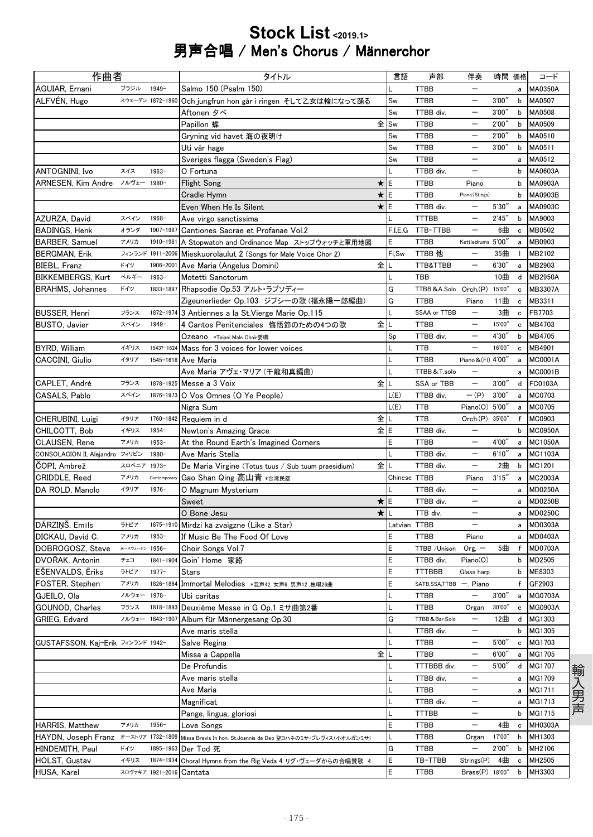## Stock List <2019.1> 男声合唱 / Men's Chorus / Männerchor

| 作曲者                               |                |                  | タイトル                                                                                                             | 言語           | 声部                        | 伴奏                       | 時間 価格  |                                                | コード              |
|-----------------------------------|----------------|------------------|------------------------------------------------------------------------------------------------------------------|--------------|---------------------------|--------------------------|--------|------------------------------------------------|------------------|
| AGUIAR, Ernani                    | ブラジル           | $1949 -$         | Salmo 150 (Psalm 150)                                                                                            |              | <b>TTBB</b>               | $\qquad \qquad -$        |        | a                                              | MA0350A          |
| ALFVÉN, Hugo                      |                |                  | スウェーデン 1872-1960 Och jungfrun hon går i ringen そして乙女は輪になって踊る                                                     | Sw           | <b>TTBB</b>               | —                        | 3'00'  | b                                              | MA0507           |
|                                   |                |                  | Aftonen タベ                                                                                                       | Sw           | TTBB div.                 |                          | 3'00'  | b                                              | MA0508           |
|                                   |                |                  | Papillon 蝶                                                                                                       | 全 Sw         | <b>TTBB</b>               | $\overline{\phantom{0}}$ | 2'00'  | b                                              | MA0509           |
|                                   |                |                  | Gryning vid havet 海の夜明け                                                                                          | Sw           | TTBB                      | —                        | 2'00'  | b                                              | MA0510           |
|                                   |                |                  | Uti vår hage                                                                                                     | Sw           | <b>TTBB</b>               | —                        | 3'00'  | $\mathbf b$                                    | MA0511           |
|                                   |                |                  | Sveriges flagga (Sweden's Flag)                                                                                  | Sw           | <b>TTBB</b>               | $\overline{\phantom{0}}$ |        | a                                              | MA0512           |
| ANTOGNINI, Ivo                    | スイス            | $1963 -$         | O Fortuna                                                                                                        |              | TTBB div.                 | $\overline{\phantom{0}}$ |        | $\mathbf b$                                    | MA0603A          |
| ARNESEN, Kim Andre                | ノルヴェー 1980-    |                  | $\star$<br><b>Flight Song</b>                                                                                    | ΙE           | <b>TTBB</b>               | Piano                    |        | b                                              | MA0903A          |
|                                   |                |                  | $\star$<br><b>Cradle Hymn</b>                                                                                    | E            | TTBB                      | Piano (Stings)           |        | b                                              | MA0903B          |
|                                   |                |                  | ★IE<br>Even When He Is Silent                                                                                    |              | TTBB div.                 | $\overline{\phantom{0}}$ | 5'30'  | a                                              | MA0903C          |
| AZURZA, David                     | スペイン           | $1968 -$         | Ave virgo sanctissima                                                                                            |              | <b>TTTBB</b>              | $\overline{\phantom{0}}$ | 2'45'  | b                                              | MA9003           |
| <b>BADINGS, Henk</b>              | オランダ           |                  | 1907-1987 Cantiones Sacrae et Profanae Vol.2                                                                     |              | F,I,E,G TTB-TTBB          | -                        | 6曲     | c                                              | <b>MB0502</b>    |
| <b>BARBER, Samuel</b>             | アメリカ           |                  | 1910-1981 A Stopwatch and Ordinance Map ストップウォッチと軍用地図                                                            | E            | <b>TTBB</b>               | Kettledrums 5'00'        |        | a                                              | MB0903           |
| <b>BERGMAN, Erik</b>              |                |                  | フィンランド 1911-2006 Mieskuorolaulut 2 (Songs for Male Voice Chor 2)                                                 | Fi,Sw        | TTBB 他                    |                          | 35曲    | $\mathbf{I}$                                   | MB2102           |
| BIEBL, Franz                      | ドイツ            | 1906-2001        | 全<br>Ave Maria (Angelus Domini)                                                                                  |              | TTB&TTBB                  |                          | 6'30'  | a                                              | MB2903           |
| <b>BIKKEMBERGS, Kurt</b>          | ベルギー           | $1963 -$         | Motetti Sanctorum                                                                                                |              | <b>TBB</b>                |                          | 10曲    | d                                              | <b>MB2950A</b>   |
| <b>BRAHMS, Johannes</b>           | ドイツ            | 1833-1897        | Rhapsodie Op.53 アルト・ラプソディー                                                                                       | G            | TTBB&A.Solo               | Orch.(P)                 | 15'00" | c                                              | MB3307A          |
|                                   |                |                  | Zigeunerlieder Op.103 ジプシーの歌 (福永陽一郎編曲)                                                                           | Ġ            | <b>TTBB</b>               | Piano                    | 11曲    | $\mathbf c$                                    | MB3311           |
| <b>BUSSER, Henri</b>              | フランス           |                  | 1872-1974 3 Antiennes a la St. Vierge Marie Op.115                                                               |              | SSAA or TTBB              |                          | 3曲     | c                                              | FB7703           |
| <b>BUSTO, Javier</b>              | スペイン           | $1949 -$         | 全<br>4 Cantos Penitenciales 悔悟節のための4つの歌                                                                          |              | TTBB                      |                          | 15'00" | $\mathbf c$                                    | MB4703           |
|                                   |                |                  | Ozeano *Taipei Male Choir委嘱                                                                                      | Sp           | TTBB div.                 | —                        | 4'30'  | b                                              | MB4705           |
| BYRD, William                     | イギリス           |                  | 1543?-1624 Mass for 3 voices for lower voices                                                                    |              | <b>TTB</b>                |                          | 16'00" | c                                              | MB4901           |
| CACCINI, Giulio                   | イタリア           |                  | 1545-1618 Ave Maria                                                                                              |              | <b>TTBB</b>               | Piano & (FI) 4'00'       |        | a                                              | <b>MC0001A</b>   |
|                                   |                |                  | Ave Maria アヴェ・マリア (千龍和真編曲)                                                                                       |              | TTBB & T.solo             | —                        |        | a                                              | <b>MC0001B</b>   |
| CAPLET, André                     | フランス           |                  | 全<br>1878-1925 Messe a 3 Voix                                                                                    |              | SSA or TBB                | $\qquad \qquad -$        | 3'00'  | d                                              | FC0103A          |
| CASALS, Pablo                     | スペイン           |                  | 1876-1973 O Vos Omnes (O Ye People)                                                                              | L(E)         | TTBB div.                 | $-(P)$                   | 3'00'  | a                                              | MC0703           |
|                                   |                |                  | Nigra Sum                                                                                                        | L(E)         | <b>TTB</b>                | Piano(O)                 | 5'00   | а                                              | MC0705           |
| CHERUBINI, Luigi                  | イタリア           |                  | 全<br>1760-1842 Requiem in d                                                                                      |              | <b>TTB</b>                | Orch(P)                  | 35'00" | $\mathsf{f}$                                   | MC0903           |
| CHILCOTT, Bob                     | イギリス           | $1954 -$         | 全<br>Newton's Amazing Grace                                                                                      | ΙE           | TTBB div.                 | L,                       |        | b                                              | <b>MC0950A</b>   |
| CLAUSEN, Rene                     | アメリカ           | $1953 -$         | At the Round Earth's Imagined Corners                                                                            | E            | <b>TTBB</b>               |                          | 4'00'  | a                                              | <b>MC1050A</b>   |
| CONSOLACION II, Alejandro フィリピン   |                | 1980-            | Ave Maris Stella                                                                                                 |              | TTBB div.                 | $\overline{\phantom{0}}$ | 6'10'' | a                                              | <b>MC1103A</b>   |
| ČOPI, Ambrež                      | スロベニア 1973-    |                  | 全<br>De Maria Virgine (Totus tuus / Sub tuum praesidium)                                                         |              | TTBB div.                 | $\overline{\phantom{0}}$ | 2曲     | b                                              | MC1201           |
| CRIDDLE, Reed                     | アメリカ           | Contemporary     | Gao Shan Qing 高山青 *台湾民謡                                                                                          | Chinese TTBB |                           | Piano                    | 3'15'  | a                                              | <b>MC2003A</b>   |
| DA ROLD, Manolo                   | イタリア           | $1976 -$         | O Magnum Mysterium                                                                                               |              | TTBB div.                 | $\overline{\phantom{0}}$ |        | а                                              | <b>MD0250A</b>   |
|                                   |                |                  | Sweet<br>★                                                                                                       | E            | TTBB div.                 | $\overline{\phantom{0}}$ |        | a                                              | <b>MD0250B</b>   |
|                                   |                |                  | $\star$<br>O Bone Jesu                                                                                           |              | TTB div.                  | $\overline{\phantom{0}}$ |        | a                                              | <b>MD0250C</b>   |
| DĀRZIŅŠ, Emīls                    | ラトビア           |                  | 1875-1910 Mirdzi kā zvaigzne (Like a Star)                                                                       | Latvian TTBB |                           | $\overline{\phantom{0}}$ |        | a                                              | <b>MD0303A</b>   |
| DICKAU, David C.                  | アメリカ           | $1953 -$         | If Music Be The Food Of Love                                                                                     | E            | <b>TTBB</b>               | Piano                    |        | a                                              | <b>MD0403A</b>   |
| DOBROGOSZ, Steve                  | *→スウェーデン 1956- |                  | Choir Songs Vol.7                                                                                                | E            | TTBB / Unison             | $Org, -$                 | 5曲     | f                                              | <b>MD0703A</b>   |
| DVOŘAK, Antonin                   | チェコ            |                  | 1841-1904 Goin' Home 家路                                                                                          | E            | TTBB div.                 | Piano(O)                 |        | b                                              | MD2505           |
| <b>ESENVALDS, Eriks</b>           | ラトビア           | $1977 -$         | Stars                                                                                                            | E            | <b>TTTBBB</b>             | Glass harp               |        | b                                              | ME8303           |
| FOSTER, Stephen                   | アメリカ           |                  | 1826-1864 Immortal Melodies *混声42, 女声6, 男声12,独唱26曲                                                               | E            | SATB, SSA, TTBB -, Piano  |                          |        | f                                              | GF2903           |
| GJEILO, Ola                       | ノルウェー 1978-    |                  | Ubi caritas                                                                                                      |              | TTBB                      | $\qquad \qquad -$        | 3'00'' | a                                              | MG0703A          |
| GOUNOD, Charles                   | フランス           | 1818-1893        | Deuxième Messe in G Op.1 ミサ曲第2番                                                                                  |              | <b>TTBB</b>               | Organ                    | 30'00" | $\mathbf{e}% _{t}\left  \mathbf{v}_{t}\right $ | MG0903A          |
| GRIEG, Edvard                     |                | ノルウェー 1843-1907  | Album für Männergesang Op.30                                                                                     | G            | TTBB&Bar.Solo             | —                        | 12曲    | d                                              | MG1303           |
|                                   |                |                  | Ave maris stella                                                                                                 |              | TTBB div.                 | —                        |        | b                                              | MG1305           |
| GUSTAFSSON, Kaj-Erik フィンランド 1942- |                |                  | Salve Regina                                                                                                     |              | TTBB                      | —                        | 5'00'  | c                                              | MG1703           |
|                                   |                |                  | 全<br>Missa a Cappella                                                                                            |              | TTBB                      | $\overline{\phantom{0}}$ | 6'00'  | a                                              | MG1705           |
|                                   |                |                  | De Profundis                                                                                                     |              | TTTBBB div.               | —                        | 5'00'' | d                                              | MG1707           |
|                                   |                |                  | Ave maris stella                                                                                                 |              | TTBB div.                 | —                        |        | а                                              | MG1709           |
|                                   |                |                  | Ave Maria                                                                                                        |              | <b>TTBB</b>               | —                        |        | a                                              | MG1711<br>MG1713 |
|                                   |                |                  | Magnificat                                                                                                       |              | TTBB div.<br><b>TTTBB</b> | —                        |        | а                                              | MG1715           |
| HARRIS, Matthew                   | アメリカ           | $1956 -$         | Pange, lingua, gloriosi                                                                                          | E            | TTBB                      | —                        | 4曲     | b<br>$\mathbf c$                               | MH0303A          |
|                                   |                |                  | Love Songs<br>HAYDN, Joseph Franz オーストリア 1732-1809 Missa Brevis In hon. St.Joannis de Deo 聖ヨハネのミサ・ブレヴィス(小オルガンミサ) |              | TTBB                      | Organ                    | 17'00" | h                                              | MH1303           |
| HINDEMITH, Paul                   | ドイツ            | 1895-1963        | Der Tod 死                                                                                                        | G            | TTBB                      |                          | 2'00'  | b                                              | MH2106           |
| HOLST, Gustav                     | イギリス           | 1874-1934        | Choral Hymns from the Rig Veda 4 リグ・ヴェーダからの合唱賛歌 4                                                                | E            | TB-TTBB                   | Strings(P)               | 4曲     | c                                              | MH2505           |
| HUSA, Karel                       |                | スロヴァキア 1921-2016 | Cantata                                                                                                          | E            | <b>TTBB</b>               | Brass(P) 18'00"          |        | b                                              | MH3303           |
|                                   |                |                  |                                                                                                                  |              |                           |                          |        |                                                |                  |

輸入男声 輸入男声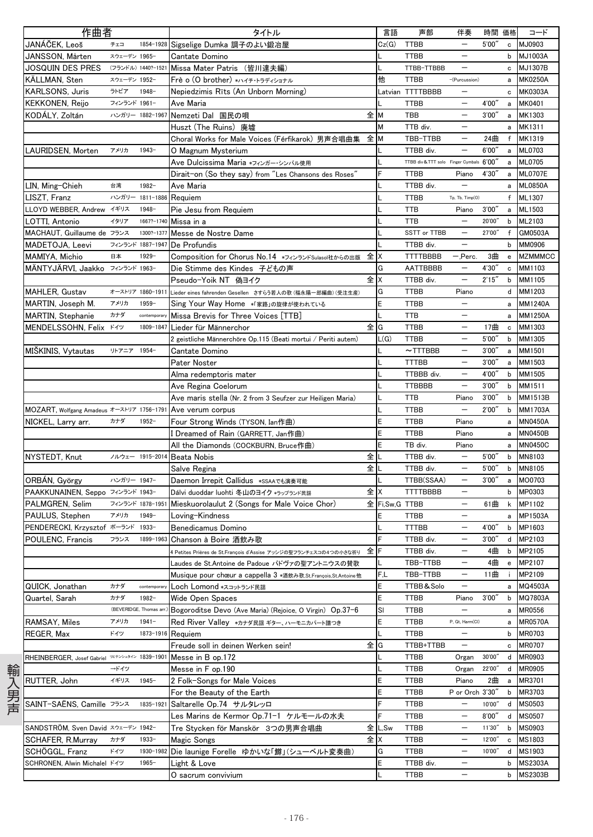| 作曲者                                                        |  |                         | タイトル                                                              | 言語     | 声部                                       | 伴奏                       | 時間 価格  |                                                  | コード            |
|------------------------------------------------------------|--|-------------------------|-------------------------------------------------------------------|--------|------------------------------------------|--------------------------|--------|--------------------------------------------------|----------------|
| JANÁČEK, Leoš<br>チェコ                                       |  | 1854-1928               | Sigselige Dumka 調子のよい鍛冶屋                                          | Cz(G)  | <b>TTBB</b>                              | $\overline{\phantom{m}}$ | 5'00'' | $\mathbf{c}$                                     | MJ0903         |
| JANSSON, Mårten                                            |  | スウェーデン 1965-            | Cantate Domino                                                    |        | <b>TTBB</b>                              | $\overline{\phantom{0}}$ |        | $\mathsf b$                                      | <b>MJ1003A</b> |
| JOSQUIN DES PRES                                           |  |                         | (フランドル) 1440?-1521 Missa Mater Patris (皆川達夫編)                     |        | TTBB-TTBBB                               |                          |        | c                                                | MJ1307B        |
| KÄLLMAN, Sten                                              |  | スウェーデン 1952-            | $F$ rè o (O brother) */147.15743371                               | 他      | <b>TTBB</b>                              | -(Purcussion)            |        | a                                                | <b>MK0250A</b> |
| <b>KARLSONS, Juris</b><br>ラトビア                             |  | $1948 -$                | Nepiedzimis Rīts (An Unborn Morning)                              |        | Latvian TTTTBBBB                         |                          |        | c                                                | <b>MK0303A</b> |
| <b>KEKKONEN, Reijo</b>                                     |  | フィンランド 1961-            | Ave Maria                                                         |        | <b>TTBB</b>                              |                          | 4'00'  | a                                                | MK0401         |
| KODALY, Zoltán                                             |  | ハンガリー 1882-1967         | Nemzeti Dal 国民の唄                                                  | 全M     | TBB                                      |                          | 3'00'  | a                                                | MK1303         |
|                                                            |  |                         | Huszt (The Ruins) 廃墟                                              | M      | TTB div.                                 | $\qquad \qquad -$        |        | a                                                | MK1311         |
|                                                            |  |                         | Choral Works for Male Voices (Férfikarok) 男声合唱曲集                  | 全M     | TBB-TTBB                                 | $\overline{\phantom{m}}$ | 24曲    | f                                                | MK1319         |
| LAURIDSEN, Morten<br>アメリカ                                  |  | $1943 -$                | O Magnum Mysterium                                                |        | TTBB div.                                |                          | 6'00'' | a                                                | <b>ML0703</b>  |
|                                                            |  |                         | Ave Dulcissima Maria *フィンガー・シンバル使用                                |        | TTBB div & TTT solo Finger Cymbals 6'00" |                          |        | a                                                | ML0705         |
|                                                            |  |                         | Dirait-on (So they say) from "Les Chansons des Roses"             |        | <b>TTBB</b>                              | Piano                    | 4'30'  | a                                                | <b>ML0707E</b> |
| LIN, Ming-Chieh<br>台湾                                      |  | $1982 -$                | Ave Maria                                                         |        | TTBB div.                                | $\overline{\phantom{0}}$ |        | a                                                | <b>ML0850A</b> |
| LISZT, Franz                                               |  | ハンガリー 1811-1886         | Requiem                                                           |        | <b>TTBB</b>                              | Tp, Tb, Timp(O)          |        | f                                                | ML1307         |
| LLOYD WEBBER, Andrew イギリス                                  |  | $1948 -$                | Pie Jesu from Requiem                                             |        | <b>TTB</b>                               | Piano                    | 3'00'  | a                                                | ML1503         |
| イタリア<br>LOTTI, Antonio                                     |  | 1667?-1740              | Missa in a                                                        |        | <b>TTB</b>                               | $\overline{\phantom{0}}$ | 20'00' | b                                                | ML2103         |
| MACHAUT, Guillaume de フランス                                 |  | 1300?-1377              | Messe de Nostre Dame                                              |        | SSTT or TTBB                             |                          | 27'00" | f                                                | GM0503A        |
| MADETOJA, Leevi                                            |  | フィンランド 1887-1947        | De Profundis                                                      |        | TTBB div.                                | $\qquad \qquad -$        |        | b                                                | MM0906         |
| 日本<br>MAMIYA, Michio                                       |  | $1929 -$                | Composition for Chorus No.14 *フィンランドSulasol社からの出版 全 X             |        | <b>TTTTBBBB</b>                          | $-$ , Perc.              | 3曲     | $\mathbf{e}$                                     | <b>MZMMMCC</b> |
| MÄNTYJÄRVI, Jaakko フィンランド 1963-                            |  |                         | Die Stimme des Kindes 子どもの声                                       | G      | AATTBBBB                                 |                          | 4'30"  | c                                                | MM1103         |
|                                                            |  |                         | Pseudo-Yoik NT 偽ヨイク                                               | 全 X    | TTBB div.                                | $\overline{\phantom{0}}$ | 2'15'' | b                                                | MM1105         |
| <b>MAHLER, Gustav</b>                                      |  | オーストリア 1860-1911        | Lieder eines fahrenden Gesellen さすらう若人の歌 (福永陽一郎編曲) (受注生産)         | G      | <b>TTBB</b>                              | Piano                    |        | d                                                | MM1203         |
| MARTIN. Joseph M.<br>アメリカ                                  |  | $1959 -$                | Sing Your Way Home *「家路」の旋律が使われている                                | E      | <b>TTBB</b>                              | $\overline{\phantom{m}}$ |        | a                                                | MM1240A        |
| カナダ<br><b>MARTIN, Stephanie</b>                            |  | contemporary            | Missa Brevis for Three Voices [TTB]                               |        | <b>TTB</b>                               |                          |        | a                                                | MM1250A        |
| MENDELSSOHN, Felix K49                                     |  | 1809-1847               | Lieder für Männerchor                                             | 全IG    | TTBB                                     | $\overline{\phantom{0}}$ | 17曲    | $\mathbf c$                                      | MM1303         |
|                                                            |  |                         | 2 geistliche Männerchöre Op.115 (Beati mortui / Periti autem)     | L(G)   | <b>TTBB</b>                              | $\overline{\phantom{0}}$ | 5'00'  | b                                                | MM1305         |
| リトアニア<br>MISKINIS, Vytautas                                |  | 1954-                   | Cantate Domino                                                    |        | $~\sim$ TTTBBB                           |                          | 3'00'  | a                                                | MM1501         |
|                                                            |  |                         | Pater Noster                                                      |        | <b>TTTBB</b>                             | $\overline{\phantom{0}}$ | 3'00'' | a                                                | MM1503         |
|                                                            |  |                         | Alma redemptoris mater                                            |        | TTBBB div.                               | $\qquad \qquad -$        | 4'00'  | b                                                | MM1505         |
|                                                            |  |                         | Ave Regina Coelorum                                               |        | <b>TTBBBB</b>                            | $\overline{\phantom{m}}$ | 3'00'  | b                                                | MM1511         |
|                                                            |  |                         | Ave maris stella (Nr. 2 from 3 Seufzer zur Heiligen Maria)        |        | <b>TTB</b>                               | Piano                    | 3'00'' | b                                                | MM1513B        |
| MOZART, Wolfgang Amadeus オーストリア 1756-1791 Ave verum corpus |  |                         |                                                                   |        | <b>TTBB</b>                              | $\qquad \qquad -$        | 2'00'  | b                                                | MM1703A        |
| カナダ<br>NICKEL, Larry arr.                                  |  | $1952 -$                | Four Strong Winds (TYSON, Ian作曲)                                  | E      | <b>TTBB</b>                              | Piano                    |        | a                                                | <b>MN0450A</b> |
|                                                            |  |                         | I Dreamed of Rain (GARRETT, Jan作曲)                                | E      | <b>TTBB</b>                              | Piano                    |        | a                                                | <b>MN0450B</b> |
|                                                            |  |                         | All the Diamonds (COCKBURN, Bruce作曲)                              | E      | TB div.                                  | Piano                    |        | a                                                | <b>MN0450C</b> |
| NYSTEDT, Knut                                              |  | ノルウェー 1915-2014         | 全丨<br><b>Beata Nobis</b>                                          |        | TTBB div.                                | $\qquad \qquad -$        | 5'00'  | b                                                | MN8103         |
|                                                            |  |                         | 全Ⅱ<br>Salve Regina                                                |        | TTBB div.                                | —                        | 5'00'  | b                                                | MN8105         |
| ORBAN, György                                              |  | ハンガリー 1947-             | Daemon Irrepit Callidus *SSAAでも演奏可能                               |        | TTBB(SSAA)                               | $\overline{\phantom{0}}$ | 3'00'  | a                                                | MO0703         |
| PAAKKUNAINEN, Seppo フィンランド 1943-                           |  |                         | Dálvi duoddar luohti 冬山のヨイク *ラップランド民謡                             | 全 X    | <b>TTTTBBBB</b>                          | $\overline{\phantom{0}}$ |        | b                                                | MP0303         |
| PALMGREN, Selim                                            |  | フィンランド 1878-1951        | Mieskuorolaulut 2 (Songs for Male Voice Chor)                     |        | 全 Fi,Sw,G TTBB                           | $\qquad \qquad -$        | 61曲    | k                                                | MP1102         |
| アメリカ<br>PAULUS, Stephen                                    |  | $1949 -$                | Loving-Kindness                                                   | E      | TTBB                                     |                          |        | a                                                | MP1503A        |
| PENDERECKI, Krzysztof ポーランド 1933-                          |  |                         | Benedicamus Domino                                                |        | <b>TTTBB</b>                             | $\overline{\phantom{m}}$ | 4'00"  | b                                                | MP1603         |
| POULENC, Francis<br>フランス                                   |  |                         | 1899-1963 Chanson à Boire 酒飲み歌                                    | IF     | TTBB div.                                | $\overline{\phantom{0}}$ | 3'00'' |                                                  | d MP2103       |
|                                                            |  |                         | 4 Petites Prières de St.François d'Assise アッシジの聖フランチェスコの4つの小さな祈り  | 全下     | TTBB div.                                | $\qquad \qquad -$        | 4曲     | b                                                | MP2105         |
|                                                            |  |                         | Laudes de St.Antoine de Padoue パドヴァの聖アントニウスの賛歌                    |        | TBB-TTBB                                 |                          | 4曲     | $\mathbf{e}% _{t}\left  \mathbf{1}\right\rangle$ | MP2107         |
|                                                            |  |                         | Musique pour chœur a cappella 3 *酒飲み歌, St. François, St. Antoine他 | F,L    | TBB-TTBB                                 | $\qquad \qquad -$        | 11曲    | j.                                               | MP2109         |
| カナダ<br>QUICK, Jonathan                                     |  | contemporary            | Loch Lomond *スコットランド民謡                                            | E      | TTBB&Solo                                | $\qquad \qquad -$        |        | a                                                | MQ4503A        |
| カナダ<br>Quartel, Sarah                                      |  | $1982 -$                | Wide Open Spaces                                                  | E      | <b>TTBB</b>                              | Piano                    | 3'00'' | b                                                | MQ7803A        |
|                                                            |  | (BEVERIDGE, Thomas arr. | Bogoroditse Devo (Ave Maria) (Rejoice, O Virgin) Op.37-6          | SI     | TTBB                                     | $\overline{\phantom{0}}$ |        | a                                                | MR0556         |
| RAMSAY, Miles<br>アメリカ                                      |  | $1941 -$                | Red River Valley *カナダ民謡 ギター、ハーモニカパート譜つき                           | E      | TTBB                                     | P. Gt. Harm(Cl)          |        | a                                                | <b>MR0570A</b> |
| ドイツ<br>REGER, Max                                          |  | 1873-1916               | Requiem                                                           |        | TTBB                                     | $\qquad \qquad -$        |        | b                                                | MR0703         |
|                                                            |  |                         | Freude soll in deinen Werken sein!                                | 全IG    | TTBB+TTBB                                | $\qquad \qquad -$        |        | c                                                | MR0707         |
| RHEINBERGER, Josef Gabriel VETYSAS4V 1839-1901             |  |                         | Messe in B op.172                                                 |        | TTBB                                     | Organ                    | 30'00" | d                                                | MR0903         |
| →ドイツ                                                       |  |                         | Messe in F op.190                                                 |        | TTBB                                     | Organ                    | 22'00' | d                                                | <b>MR0905</b>  |
| RUTTER, John<br>イギリス                                       |  | $1945 -$                | 2 Folk-Songs for Male Voices                                      | E      | TTBB                                     | Piano                    | 2曲     | а                                                | MR3701         |
|                                                            |  |                         | For the Beauty of the Earth                                       | E      | TTBB                                     | P or Orch 3'30"          |        | b                                                | MR3703         |
| SAINT-SAËNS, Camille フランス                                  |  | 1835-1921               | Saltarelle Op.74 サルタレッロ                                           | F      | TTBB                                     | $\qquad \qquad -$        | 10'00' | d                                                | MS0503         |
|                                                            |  |                         | Les Marins de Kermor Op.71-1 ケルモールの水夫                             | F      | TTBB                                     | -                        | 8'00'  | d                                                | <b>MS0507</b>  |
| SANDSTRÖM, Sven David スウェーデン 1942-                         |  |                         | Tre Stycken för Manskör 3つの男声合唱曲                                  | 全 L,Sw | <b>TTBB</b>                              |                          | 11'30" | b                                                | MS0903         |
| SCHAFER, R.Murray<br>カナダ                                   |  | $1933 -$                | Magic Songs                                                       | 全 X    | TTBB                                     | $\qquad \qquad -$        | 12'00" | c                                                | MS1803         |
| SCHÖGGL, Franz<br>ドイツ                                      |  | 1930-1982               | Die launige Forelle ゆかいな「鱒」(シューベルト変奏曲)                            | G      | TTBB                                     | $\qquad \qquad -$        | 10'00' | d                                                | MS1903         |
| SCHRONEN, Alwin Michalel ドイツ                               |  | $1965 -$                | Light & Love                                                      | E      | TTBB div.                                | —                        |        | b                                                | <b>MS2303A</b> |
|                                                            |  |                         | O sacrum convivium                                                |        | TTBB                                     | $\qquad \qquad -$        |        | b                                                | <b>MS2303B</b> |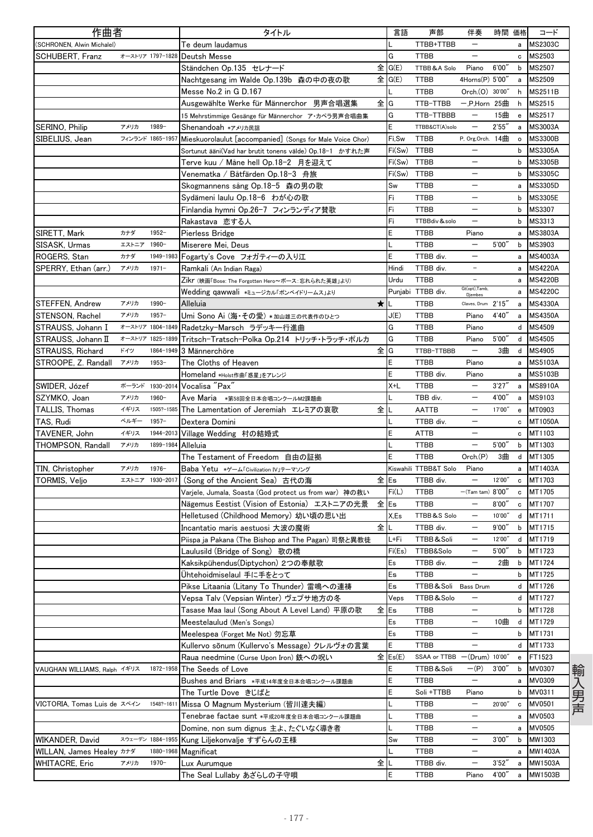| 作曲者                                 |             |                  | タイトル                                                      | 言語               | 声部                    | 伴奏                       | 時間 価格  |                | コード            |
|-------------------------------------|-------------|------------------|-----------------------------------------------------------|------------------|-----------------------|--------------------------|--------|----------------|----------------|
| (SCHRONEN, Alwin Michalel)          |             |                  | Te deum laudamus                                          |                  | TTBB+TTBB             | $\qquad \qquad -$        |        | a              | <b>MS2303C</b> |
| SCHUBERT, Franz                     |             | オーストリア 1797-1828 | Deutsh Messe                                              | G                | <b>TTBB</b>           | -                        |        | c              | MS2503         |
|                                     |             |                  | Ständchen Op.135 セレナード                                    | $\hat{\pm}$ G(E) | TTBB & A Solo         | Piano                    | 6'00'  | b              | MS2507         |
|                                     |             |                  | Nachtgesang im Walde Op.139b 森の中の夜の歌                      | 全 G(E)           | TTBB                  | 4Horns(P) 5'00"          |        | a              | MS2509         |
|                                     |             |                  | Messe No.2 in G D.167                                     |                  | <b>TTBB</b>           | Orch.(0) 30'00"          |        | h              | <b>MS2511B</b> |
|                                     |             |                  | Ausgewählte Werke für Männerchor 男声合唱選集                   | 全IG              | TTB-TTBB              | 一,P,Horn 25曲             |        | h              | MS2515         |
|                                     |             |                  | 15 Mehrstimmige Gesänge für Männerchor ア・カペラ男声合唱曲集        | G                | TTB-TTBBB             | $\qquad \qquad -$        | 15曲    | e              | MS2517         |
| SERINO, Philip                      | アメリカ        | 1989-            | Shenandoah *アメリカ民謡                                        | E                | TTBB&CT(A)solo        | —                        | 2'55'  | a              | <b>MS3003A</b> |
| SIBELIUS, Jean                      |             | フィンランド 1865-1957 | Mieskuorolaulut [accompanied] (Songs for Male Voice Chor) | Fi,Sw            | TTBB                  | P, Org, Orch. $14 \pm 1$ |        | $\circ$        | <b>MS3300B</b> |
|                                     |             |                  | Sortunut ääni(Vad har brutit tonens välde) Op.18-1 かすれた声  | Fi(Sw)           | <b>TTBB</b>           | $\overline{\phantom{0}}$ |        | b              | <b>MS3305A</b> |
|                                     |             |                  | Terve kuu / Måne hell Op.18-2 月を迎えて                       | Fi(Sw)           | <b>TTBB</b>           | $\qquad \qquad -$        |        | $\mathbf b$    | <b>MS3305B</b> |
|                                     |             |                  | Venematka / Båtfärden Op.18-3 舟旅                          | Fi(Sw)           | <b>TTBB</b>           | $\overline{\phantom{0}}$ |        | b              | <b>MS3305C</b> |
|                                     |             |                  | Skogmannens sång Op.18-5 森の男の歌                            | Sw               | <b>TTBB</b>           | -                        |        | a              | <b>MS3305D</b> |
|                                     |             |                  | Sydämeni laulu Op.18-6 わが心の歌                              | Fi               | <b>TTBB</b>           | $\overline{\phantom{0}}$ |        | b              | <b>MS3305E</b> |
|                                     |             |                  | Finlandia hymni Op.26-7 フィンランディア賛歌                        | Fi               | <b>TTBB</b>           | $\overline{\phantom{0}}$ |        | $\mathbf b$    | MS3307         |
|                                     |             |                  | Rakastava 恋する人                                            | Fi               | TTBBdiv&solo          | $\qquad \qquad -$        |        | b              | MS3313         |
| SIRETT, Mark                        | カナダ         | $1952 -$         | Pierless Bridge                                           | E                | <b>TTBB</b>           | Piano                    |        | a              | <b>MS3803A</b> |
| SISASK, Urmas                       | エストニア 1960- |                  | Miserere Mei, Deus                                        |                  | <b>TTBB</b>           | $\overline{\phantom{0}}$ | 5'00'' | b              | MS3903         |
| ROGERS, Stan                        | カナダ         | 1949-1983        | Fogarty's Cove フォガティーの入り江                                 | E                | TTBB div.             |                          |        | a              | <b>MS4003A</b> |
| SPERRY, Ethan (arr.)                | アメリカ        | $1971 -$         | Ramkali (An Indian Raga)                                  | Hindi            | TTBB div.             |                          |        | a              | <b>MS4220A</b> |
|                                     |             |                  | Zikr (映画「Bose: The Forgotten Hero〜ボース:忘れられた英雄」より)         | Urdu             | <b>TTBB</b>           | $\overline{a}$           |        | a              | <b>MS4220B</b> |
|                                     |             |                  | Wedding qawwali *ミュージカル「ボンベイドリームス」より                      |                  | Punjabi TTBB div.     | Gt(opt), Tamb,           |        | a              | <b>MS4220C</b> |
| STEFFEN, Andrew                     | アメリカ        | 1990-            | $\star$<br>Alleluia                                       |                  | <b>TTBB</b>           | Claves, Drum 2'15        |        | a              | <b>MS4330A</b> |
| STENSON, Rachel                     | アメリカ        | $1957 -$         | Umi Sono Ai (海・その愛) *加山雄三の代表作のひとつ                         | J(E)             | <b>TTBB</b>           | Piano                    | 4'40'  | a              | <b>MS4350A</b> |
| STRAUSS, Johann I                   |             | オーストリア 1804-1849 | Radetzky-Marsch ラデッキー行進曲                                  | G                | <b>TTBB</b>           | Piano                    |        | d              | MS4509         |
| STRAUSS, Johann II                  |             | オーストリア 1825-1899 | Tritsch-Tratsch-Polka Op.214 トリッチ・トラッチ・ポルカ                | G                | <b>TTBB</b>           | Piano                    | 5'00'  | d              | MS4505         |
| STRAUSS, Richard                    | ドイツ         | 1864-1949        | 3 Männerchöre                                             | 全IG              | TTBB-TTBBB            | $\overline{\phantom{0}}$ | 3曲     | d              | MS4905         |
| STROOPE, Z. Randall                 | アメリカ        | $1953 -$         | The Cloths of Heaven                                      | E                | <b>TTBB</b>           | Piano                    |        | a              | <b>MS5103A</b> |
|                                     |             |                  | Homeland *Holst作曲「惑星」をアレンジ                                | E                | TTBB div.             | Piano                    |        | a              | MS5103B        |
| SWIDER, Józef                       |             | ポーランド 1930-2014  | Vocalisa "Pax"                                            | X+L              | TTBB                  | $\overline{\phantom{0}}$ | 3'27'' | a              | <b>MS8910A</b> |
| SZYMKO, Joan                        | アメリカ        | 1960-            | Ave Maria *第58回全日本合唱コンクールM2課題曲                            |                  | TBB div.              | $\overline{\phantom{0}}$ | 4'00'  | a              | MS9103         |
| TALLIS, Thomas                      | イギリス        | 1505?-1585       | 全<br>The Lamentation of Jeremiah エレミアの哀歌                  |                  | AATTB                 | $\overline{\phantom{0}}$ | 17'00" | e              | MT0903         |
| TAS, Rudi                           | ベルギー        | $1957 -$         | Dextera Domini                                            |                  | TTBB div.             | $\overline{\phantom{0}}$ |        | c              | MT1050A        |
| TAVENER, John                       | イギリス        | 1944-2013        | Village Wedding 村の結婚式                                     |                  | <b>ATTB</b>           | $\overline{\phantom{0}}$ |        | c              | MT1103         |
| THOMPSON, Randall                   | アメリカ        | 1899-1984        | Alleluia                                                  |                  | <b>TTBB</b>           | $\overline{\phantom{0}}$ | 5'00'  | b              | MT1303         |
|                                     |             |                  | The Testament of Freedom 自由の証拠                            |                  | <b>TTBB</b>           | Orch(P)                  | 3曲     | d              | MT1305         |
| TIN, Christopher                    | アメリカ        | $1976 -$         | Baba Yetu *ゲーム「Civilization IV」テーマソング                     |                  | Kiswahili TTBB&T Solo | Piano                    |        | a              | MT1403A        |
| TORMIS, Veljo                       |             | エストニア 1930-2017  | (Song of the Ancient Sea) 古代の海                            | 全Es              | TTBB div.             | $\overline{\phantom{0}}$ | 12'00" | c              | MT1703         |
|                                     |             |                  | Varjele, Jumala, Soasta (God protect us from war)神の救い     | Fi(L)            | TTBB                  | $-(Tam tam)$ $8'00'$     |        | c              | MT1705         |
|                                     |             |                  | Nägemus Eestist (Vision of Estonia) エストニアの光景              | 全Es              | <b>TTBB</b>           |                          | 8'00'  | $\mathbf{c}$   | MT1707         |
|                                     |             |                  | Helletused (Childhood Memory) 幼い頃の思い出                     | X,Es             | TTBB&S Solo           |                          | 10'00" |                | d MT1711       |
|                                     |             |                  | 全<br>Incantatio maris aestuosi 大波の魔術                      |                  | TTBB div.             | $\qquad \qquad -$        | 9'00'' | b              | MT1715         |
|                                     |             |                  | Piispa ja Pakana (The Bishop and The Pagan) 司祭と異教徒        | L+Fi             | TTBB & Soli           | $\qquad \qquad -$        | 12'00" |                | d MT1719       |
|                                     |             |                  | Laulusild (Bridge of Song) 歌の橋                            | Fi(Es)           | TTBB&Solo             | -                        | 5'00'' | b              | MT1723         |
|                                     |             |                  | Kaksikpühendus(Diptychon) 2つの奉献歌                          | Es               | TTBB div.             |                          | 2曲     | b              | MT1724         |
|                                     |             |                  | Ühtehoidmiselaul 手に手をとって                                  | Es               | <b>TTBB</b>           |                          |        | b              | MT1725         |
|                                     |             |                  | Pikse Litaania (Litany To Thunder) 雷鳴への連祷                 | Es               | TTBB & Soli Bass Drum |                          |        | d              | MT1726         |
|                                     |             |                  | Vepsa Talv (Vepsian Winter) ヴェプサ地方の冬                      | Veps             | TTBB&Solo             | —                        |        |                | d MT1727       |
|                                     |             |                  | Tasase Maa laul (Song About A Level Land) 平原の歌            | 全lEs             | TTBB                  | $\qquad \qquad -$        |        | b              | MT1728         |
|                                     |             |                  | Meestelaulud (Men's Songs)                                | Es               | TTBB                  | —                        | 10曲    | d              | MT1729         |
|                                     |             |                  | Meelespea (Forget Me Not) 勿忘草                             | Es               | TTBB                  |                          |        | b              | MT1731         |
|                                     |             |                  | Kullervo sõnum (Kullervo's Message) クレルヴォの言葉              | E                | <b>TTBB</b>           | $\overline{\phantom{0}}$ |        | d              | MT1733         |
|                                     |             |                  | Raua needmine (Curse Upon Iron) 鉄への呪い                     | 全 Es(E)          | SSAA or TTBB          | (Drum) 10'00"            |        | $\mathsf{e}\,$ | FT1523         |
| VAUGHAN WILLIAMS, Ralph イギリス        |             | 1872-1958        | The Seeds of Love                                         | E                | TTBB&Soli             | $-(P)$                   | 3'00'' | b              | MV0307         |
|                                     |             |                  | Bushes and Briars *平成14年度全日本合唱コンクール課題曲                    | E                | <b>TTBB</b>           | $\qquad \qquad -$        |        | a              | MV0309         |
|                                     |             |                  | The Turtle Dove きじばと                                      | E                | Soli +TTBB            | Piano                    |        | b              | MV0311         |
| VICTORIA, Tomas Luis de スペイン        |             | 1548?-1611       | Missa O Magnum Mysterium (皆川達夫編)                          |                  | <b>TTBB</b>           | —                        | 20'00" | c              | MV0501         |
|                                     |             |                  | Tenebrae factae sunt *平成20年度全日本合唱コンクール課題曲                 |                  | TTBB                  |                          |        | a              | MV0503         |
|                                     |             |                  | Domine, non sum dignus 主よ、たぐいなく導き者                        |                  | TTBB                  | $\qquad \qquad -$        |        | a              | <b>MV0505</b>  |
| WIKANDER, David                     |             | スウェーデン 1884-1955 | Kung Liljekonvalje すずらんの王様                                | Sw               | TTBB                  | $\overline{\phantom{0}}$ | 3'00'' | b              | MW1303         |
| WILLAN, James Healey <sup>カナダ</sup> |             | 1880-1968        | Magnificat                                                |                  | TTBB                  | -                        |        | а              | MW1403A        |
| <b>WHITACRE, Eric</b>               | アメリカ        | $1970 -$         | 全  <br>Lux Aurumque                                       |                  | TTBB div.             | $\overline{\phantom{0}}$ | 3'52'' | a              | MW1503A        |
|                                     |             |                  | The Seal Lullaby あざらしの子守唄                                 | E                | TTBB                  | Piano                    | 4'00'' | a              | MW1503B        |

輸入男声 輸入男声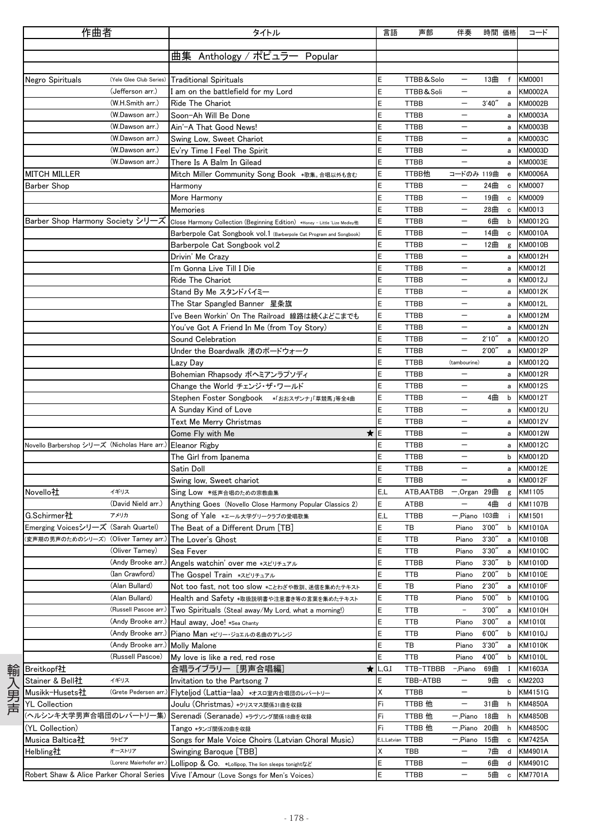| 作曲者                                                    |                          | タイトル                                                                                                        | 言語               | 声部          | 伴奏                       | 時間 価格  |              | コード                       |
|--------------------------------------------------------|--------------------------|-------------------------------------------------------------------------------------------------------------|------------------|-------------|--------------------------|--------|--------------|---------------------------|
|                                                        |                          |                                                                                                             |                  |             |                          |        |              |                           |
|                                                        |                          | 曲集 Anthology / ポピュラー Popular                                                                                |                  |             |                          |        |              |                           |
|                                                        |                          |                                                                                                             |                  |             |                          |        |              |                           |
| Negro Spirituals                                       |                          | (Yele Glee Club Series) Traditional Spirituals                                                              | Е                | TTBB&Solo   |                          | 13曲    | f            | <b>KM0001</b>             |
|                                                        | (Jefferson arr.)         | I am on the battlefield for my Lord                                                                         | E                | TTBB&Soli   |                          |        | a            | <b>KM0002A</b>            |
|                                                        | (W.H.Smith arr.)         | Ride The Chariot                                                                                            | E                | <b>TTBB</b> | $\overline{\phantom{0}}$ | 3'40'' |              | a KM0002B                 |
|                                                        | (W.Dawson arr.)          | Soon-Ah Will Be Done                                                                                        | Ε                | <b>TTBB</b> | $\overline{\phantom{m}}$ |        | a            | <b>KM0003A</b>            |
|                                                        | (W.Dawson arr.)          | Ain'-A That Good News!                                                                                      | Ε                | <b>TTBB</b> |                          |        | а            | <b>KM0003B</b>            |
|                                                        | (W.Dawson arr.)          | Swing Low, Sweet Chariot                                                                                    | E                | <b>TTBB</b> | -                        |        | a            | <b>KM0003C</b>            |
|                                                        | (W.Dawson arr.)          | Ev'ry Time I Feel The Spirit                                                                                | E                | <b>TTBB</b> | -                        |        | a            | <b>KM0003D</b>            |
|                                                        | (W.Dawson arr.)          | There Is A Balm In Gilead                                                                                   | Ε                | <b>TTBB</b> | $\overline{\phantom{m}}$ |        | a            | <b>KM0003E</b>            |
| MITCH MILLER                                           |                          | Mitch Miller Community Song Book *歌集。合唱以外も含む                                                                | E                | TTBB他       | コードのみ 119曲               |        | $\mathbf{e}$ | <b>KM0006A</b>            |
| Barber Shop                                            |                          | Harmony                                                                                                     | E                | <b>TTBB</b> | $\overline{\phantom{m}}$ | 24曲    | c            | KM0007                    |
|                                                        |                          | More Harmony                                                                                                | E                | <b>TTBB</b> | $\qquad \qquad -$        | 19曲 c  |              | KM0009                    |
|                                                        |                          | Memories                                                                                                    | E                | <b>TTBB</b> |                          | 28曲    | $\mathbf c$  | KM0013                    |
|                                                        |                          | Barber Shop Harmony Society シリーズ Close Harmony Collection (Beginning Edition) *Honey - Little 'Lize Medley他 | E                | <b>TTBB</b> | $\overline{\phantom{0}}$ | 6曲     |              | b KM0012G                 |
|                                                        |                          | Barberpole Cat Songbook vol.1 (Barberpole Cat Program and Songbook)                                         | E                | <b>TTBB</b> | $\qquad \qquad -$        | 14曲    | $\mathtt{c}$ | <b>KM0010A</b>            |
|                                                        |                          |                                                                                                             | E                | TTBB        | $\qquad \qquad -$        | 12曲    |              | <b>KM0010B</b>            |
|                                                        |                          | Barberpole Cat Songbook vol.2                                                                               | E                | <b>TTBB</b> | $\overline{\phantom{0}}$ |        | g            |                           |
|                                                        |                          | Drivin' Me Crazy                                                                                            | E                | <b>TTBB</b> | $\qquad \qquad -$        |        | a            | KM0012H                   |
|                                                        |                          | I'm Gonna Live Till I Die                                                                                   |                  |             | $\qquad \qquad -$        |        | a            | KM0012I                   |
|                                                        |                          | Ride The Chariot                                                                                            | E                | <b>TTBB</b> |                          |        | a            | KM0012J                   |
|                                                        |                          | Stand By Me スタンドバイミー                                                                                        | E                | <b>TTBB</b> |                          |        | a            | <b>KM0012K</b>            |
|                                                        |                          | The Star Spangled Banner 星条旗                                                                                | E                | <b>TTBB</b> | $\overline{\phantom{0}}$ |        | a            | KM0012L                   |
|                                                        |                          | I've Been Workin' On The Railroad 線路は続くよどこまでも                                                               | E                | <b>TTBB</b> | $\qquad \qquad -$        |        | a            | KM0012M                   |
|                                                        |                          | You've Got A Friend In Me (from Toy Story)                                                                  | Ε                | <b>TTBB</b> | $\equiv$                 |        | a            | <b>KM0012N</b>            |
|                                                        |                          | Sound Celebration                                                                                           | E                | <b>TTBB</b> | $\overline{\phantom{0}}$ | 2'10'' | a            | KM0012O                   |
|                                                        |                          | Under the Boardwalk 渚のボードウォーク                                                                               | E                | <b>TTBB</b> | $\qquad \qquad -$        | 2'00'' | a            | KM0012P                   |
|                                                        |                          | Lazy Day                                                                                                    | Ε                | <b>TTBB</b> | (tambourine)             |        | a            | KM0012Q                   |
|                                                        |                          | Bohemian Rhapsody ボヘミアンラプソディ                                                                                | E                | <b>TTBB</b> |                          |        | a            | KM0012R                   |
|                                                        |                          | Change the World チェンジ・ザ・ワールド                                                                                | E                | <b>TTBB</b> | $\overline{\phantom{0}}$ |        |              | a KM0012S                 |
|                                                        |                          | Stephen Foster Songbook *「おおスザンナ」「草競馬」等全4曲                                                                  | Ε                | <b>TTBB</b> | $\overline{\phantom{m}}$ | 4曲 b   |              | KM0012T                   |
|                                                        |                          | A Sunday Kind of Love                                                                                       | Ε                | <b>TTBB</b> |                          |        | a            | KM0012U                   |
|                                                        |                          | Text Me Merry Christmas                                                                                     | E                | <b>TTBB</b> |                          |        | a            | <b>KM0012V</b>            |
|                                                        |                          | *<br>Come Fly with Me                                                                                       | E                | <b>TTBB</b> | $\overline{\phantom{m}}$ |        | a            | KM0012W                   |
| Novello Barbershop シリーズ (Nicholas Hare arr.)           |                          | <b>Eleanor Rigby</b>                                                                                        | Ε                | <b>TTBB</b> | —                        |        | a            | <b>KM0012C</b>            |
|                                                        |                          | The Girl from Ipanema                                                                                       | E                | <b>TTBB</b> | $\overline{\phantom{m}}$ |        | b            | <b>KM0012D</b>            |
|                                                        |                          | Satin Doll                                                                                                  | E                | <b>TTBB</b> | $\qquad \qquad -$        |        |              | a KM0012E                 |
|                                                        |                          | Swing low, Sweet chariot                                                                                    | E                | <b>TTBB</b> |                          |        | a            | <b>KM0012F</b>            |
| イギリス<br>Novello社                                       |                          | Sing Low *低声合唱のための宗教曲集                                                                                      | E,L              | ATB, AATBB  | $-.$ Organ 29曲           |        |              | g KM1105                  |
|                                                        | (David Nield arr.)       | Anything Goes (Novello Close Harmony Popular Classics 2)                                                    | Ε                | <b>ATBB</b> | $\qquad \qquad -$        | 4曲     |              | d KM1107B                 |
| G.Schirmer社<br>アメリカ                                    |                          | Song of Yale *エール大学グリークラブの愛唱歌集                                                                              | E,L              | <b>TTBB</b> | 一,Piano 103曲             |        |              | KM1501                    |
| Emerging Voicesシリーズ(Sarah Quartel)                     |                          | The Beat of a Different Drum [TB]                                                                           | E                | ТB          | Piano                    | 3'00'' | b            | <b>KM1010A</b>            |
| 【変声期の男声のためのシリーズ)(Oliver Tarney arr.) The Lover's Ghost |                          |                                                                                                             |                  | TTB         | Piano                    | 3'30'' |              | a KM1010B                 |
|                                                        | (Oliver Tarney)          | Sea Fever                                                                                                   | E                | TTB         | Piano                    | 3'30'' | a            | <b>KM1010C</b>            |
|                                                        |                          |                                                                                                             |                  |             |                          | 3'30'  | b            | <b>KM1010D</b>            |
|                                                        |                          |                                                                                                             |                  |             |                          |        |              |                           |
|                                                        | (Andy Brooke arr.)       | Angels watchin' over me *スピリチュアル                                                                            | E                | <b>TTBB</b> | Piano                    |        |              |                           |
|                                                        | (Ian Crawford)           | The Gospel Train *スピリチュアル                                                                                   | Ε                | TTB         | Piano                    | 2'00'  | b            | <b>KM1010E</b>            |
|                                                        | (Alan Bullard)           | Not too fast, not too slow *ことわざや教訓、迷信を集めたテキスト                                                              | E                | ТB          | Piano                    | 2'30'  | a            | <b>KM1010F</b>            |
|                                                        | (Alan Bullard)           | Health and Safety *取扱説明書や注意書き等の言葉を集めたテキスト                                                                   | Ε                | TTB         | Piano                    | 5'00'' | b            |                           |
|                                                        |                          | (Russell Pascoe arr.) Two Spirituals (Steal away/My Lord, what a morning!)                                  | Ε                | TTB         | $\overline{\phantom{a}}$ | 3'00'  | а            | <b>KM1010G</b><br>KM1010H |
|                                                        |                          | (Andy Brooke arr.) Haul away, Joe! *Sea Chanty                                                              | E                | TTB         | Piano                    | 3'00'  | а            | KM1010I                   |
|                                                        | (Andy Brooke arr.)       | Piano Man *ビリー・ジョエルの名曲のアレンジ                                                                                 | E                | TTB         | Piano                    | 6'00'  | b            | <b>KM1010J</b>            |
|                                                        | (Andy Brooke arr.)       | <b>Molly Malone</b>                                                                                         | E                | TB          | Piano                    | 3'30'  | a            | <b>KM1010K</b>            |
|                                                        | (Russell Pascoe)         | My love is like a red, red rose                                                                             | E                | TTB         | Piano                    | 4'00'  | b            | KM1010L                   |
| Breitkopf社                                             |                          | 合唱ライブラリー [男声合唱編]<br>*                                                                                       | L, G, I          | TTB-TTBBB   | -,Piano                  | 69曲    | -1           | KM1603A                   |
| Stainer & Bell社<br>イギリス                                |                          | Invitation to the Partsong 7                                                                                | Ε                | TBB-ATBB    | $\overline{\phantom{a}}$ | 9曲     | c            | KM2203                    |
| Musikk-Husets社                                         | (Grete Pedersen arr.)    | Flyteljod (Lattia-laa) *オスロ室内合唱団のレパートリー                                                                     | Χ                | <b>TTBB</b> | $\overline{\phantom{m}}$ |        | b            |                           |
| <b>YL Collection</b>                                   |                          | Joulu (Christmas) *クリスマス関係31曲を収録                                                                            | Fi               | TTBB 他      |                          | 31曲    | h            | <b>KM4850A</b>            |
| (ヘルシンキ大学男声合唱団のレパートリー集)                                 |                          | Serenadi (Seranade) *ラヴソング関係18曲を収録                                                                          | Fi               | TTBB 他      | — "Piano                 | 18曲    | h            | <b>KM4850B</b>            |
| (YL Collection)                                        |                          | Tango *タンゴ関係20曲を収録                                                                                          | Fi               | TTBB 他      | -,Piano                  | 20曲    | h            | <b>KM4850C</b>            |
| Musica Baltica社<br>ラトビア                                |                          | Songs for Male Voice Choirs (Latvian Choral Music)                                                          | E,L,Latvian TTBB |             | -,Piano                  | 15曲    | $\mathbf c$  | <b>KM7425A</b>            |
| Helbling社                                              | オーストリア                   | Swinging Baroque [TBB]                                                                                      | Χ                | TBB         | $\qquad \qquad -$        | 7曲     | d            | KM4901A                   |
|                                                        | (Lorenz Maierhofer arr.) | Lollipop & Co. *Lollipop, The lion sleeps tonightなど                                                         | Ε                | TTBB        | $\qquad \qquad -$        | 6曲     | d            | KM4151G<br><b>KM4901C</b> |

- 178 -